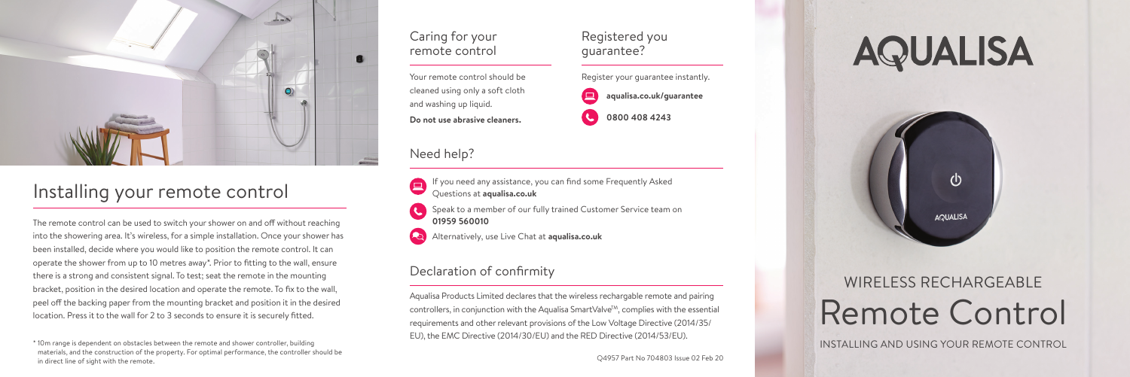

## Installing your remote control

The remote control can be used to switch your shower on and off without reaching into the showering area. It's wireless, for a simple installation. Once your shower has been installed, decide where you would like to position the remote control. It can operate the shower from up to 10 metres away\*. Prior to fitting to the wall, ensure there is a strong and consistent signal. To test; seat the remote in the mounting bracket, position in the desired location and operate the remote. To fix to the wall, peel off the backing paper from the mounting bracket and position it in the desired location. Press it to the wall for 2 to 3 seconds to ensure it is securely fitted.

\* 10m range is dependent on obstacles between the remote and shower controller, building materials, and the construction of the property. For optimal performance, the controller should be in direct line of sight with the remote.

## Caring for your remote control

Your remote control should be cleaned using only a soft cloth and washing up liquid. **Do not use abrasive cleaners.**

## Need help?

- If you need any assistance, you can find some Frequently Asked Questions at **aqualisa.co.uk**
- Speak to a member of our fully trained Customer Service team on **01959 560010**
- Alternatively, use Live Chat at **aqualisa.co.uk**

## Declaration of confirmity

Aqualisa Products Limited declares that the wireless rechargable remote and pairing controllers, in conjunction with the Aqualisa SmartValve<sup>TM</sup>, complies with the essential requirements and other relevant provisions of the Low Voltage Directive (2014/35/ EU), the EMC Directive (2014/30/EU) and the RED Directive (2014/53/EU).

Register your guarantee instantly. **aqualisa.co.uk/guarantee** 

Registered you guarantee?

**0800 408 4243** 

# **AQUALISA**



## Remote Control WIRELESS RECHARGEABLE

INSTALLING AND USING YOUR REMOTE CONTROL